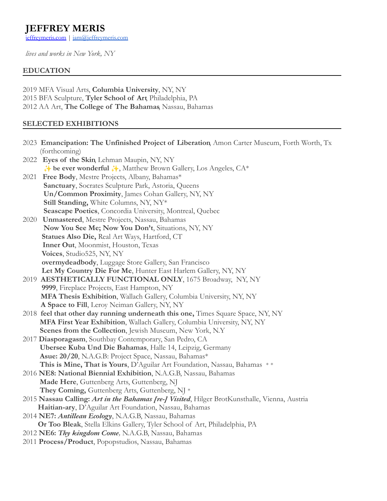# **JEFFREY MERIS**

[jeffreymeris.com](http://jeffreymeris.com/) | [jam@jeffreymeris.com](mailto:jam@jeffreymeris.com)

*lives and works in New York, NY*

## **EDUCATION**

2019 MFA Visual Arts, **Columbia University**, NY, NY 2015 BFA Sculpture, **Tyler School of Art**, Philadelphia, PA 2012 AA Art, **The College of The Bahamas**, Nassau, Bahamas

# **SELECTED EXHIBITIONS**

|      | 2023 Emancipation: The Unfinished Project of Liberation, Amon Carter Museum, Forth Worth, Tx  |
|------|-----------------------------------------------------------------------------------------------|
|      | (forthcoming)                                                                                 |
| 2022 | Eyes of the Skin Lehman Maupin, NY, NY                                                        |
|      | → be ever wonderful →, Matthew Brown Gallery, Los Angeles, CA*                                |
| 2021 | Free Body, Mestre Projects, Albany, Bahamas*                                                  |
|      | Sanctuary, Socrates Sculpture Park, Astoria, Queens                                           |
|      | Un/Common Proximity, James Cohan Gallery, NY, NY                                              |
|      | Still Standing, White Columns, NY, NY*                                                        |
|      | Seascape Poetics, Concordia University, Montreal, Quebec                                      |
| 2020 | <b>Unmastered, Mestre Projects, Nassau, Bahamas</b>                                           |
|      | Now You See Me; Now You Don't, Situations, NY, NY                                             |
|      | Statues Also Die, Real Art Ways, Hartford, CT                                                 |
|      | Inner Out, Moonmist, Houston, Texas                                                           |
|      | Voices, Studio525, NY, NY                                                                     |
|      | overmydeadbody, Luggage Store Gallery, San Francisco                                          |
|      | Let My Country Die For Me, Hunter East Harlem Gallery, NY, NY                                 |
|      | 2019 AESTHETICALLY FUNCTIONAL ONLY, 1675 Broadway, NY, NY                                     |
|      | 9999, Fireplace Projects, East Hampton, NY                                                    |
|      | MFA Thesis Exhibition, Wallach Gallery, Columbia University, NY, NY                           |
|      | A Space to Fill, Leroy Neiman Gallery, NY, NY                                                 |
|      | 2018 feel that other day running underneath this one, Times Square Space, NY, NY              |
|      | MFA First Year Exhibition, Wallach Gallery, Columbia University, NY, NY                       |
|      | Scenes from the Collection, Jewish Museum, New York, N.Y.                                     |
|      | 2017 Diasporagasm, Southbay Contemporary, San Pedro, CA                                       |
|      | Ubersee Kuba Und Die Bahamas, Halle 14, Leipzig, Germany                                      |
|      | Asue: 20/20, N.A.G.B: Project Space, Nassau, Bahamas*                                         |
|      | This is Mine, That is Yours, D'Aguilar Art Foundation, Nassau, Bahamas **                     |
|      | 2016 NE8: National Biennial Exhibition, N.A.G.B, Nassau, Bahamas                              |
|      | Made Here, Guttenberg Arts, Guttenberg, NJ                                                    |
|      | They Coming, Guttenberg Arts, Guttenberg, NJ *                                                |
|      | 2015 Nassau Calling: Art in the Bahamas [re-] Visited, Hilger BrotKunsthalle, Vienna, Austria |
|      | Haitian-ary, D'Aguilar Art Foundation, Nassau, Bahamas                                        |
|      | 2014 NE7: Antillean Ecology, N.A.G.B, Nassau, Bahamas                                         |
|      | Or Too Bleak, Stella Elkins Gallery, Tyler School of Art, Philadelphia, PA                    |
|      | 2012 NE6: Thy kingdom Come, N.A.G.B, Nassau, Bahamas                                          |
|      | 2011 Process/Product, Popopstudios, Nassau, Bahamas                                           |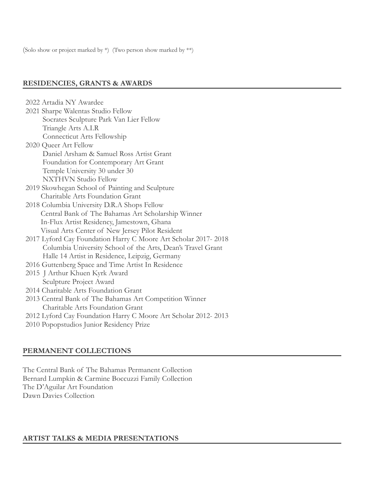(Solo show or project marked by \*) (Two person show marked by \*\*)

#### **RESIDENCIES, GRANTS & AWARDS**

| 2022 Artadia NY Awardee                                        |  |
|----------------------------------------------------------------|--|
| 2021 Sharpe Walentas Studio Fellow                             |  |
| Socrates Sculpture Park Van Lier Fellow                        |  |
| Triangle Arts A.I.R                                            |  |
| Connecticut Arts Fellowship                                    |  |
| 2020 Queer Art Fellow                                          |  |
| Daniel Arsham & Samuel Ross Artist Grant                       |  |
| Foundation for Contemporary Art Grant                          |  |
| Temple University 30 under 30                                  |  |
| <b>NXTHVN</b> Studio Fellow                                    |  |
| 2019 Skowhegan School of Painting and Sculpture                |  |
| Charitable Arts Foundation Grant                               |  |
| 2018 Columbia University D.R.A Shops Fellow                    |  |
| Central Bank of The Bahamas Art Scholarship Winner             |  |
| In-Flux Artist Residency, Jamestown, Ghana                     |  |
| Visual Arts Center of New Jersey Pilot Resident                |  |
| 2017 Lyford Cay Foundation Harry C Moore Art Scholar 2017-2018 |  |
| Columbia University School of the Arts, Dean's Travel Grant    |  |
| Halle 14 Artist in Residence, Leipzig, Germany                 |  |
| 2016 Guttenberg Space and Time Artist In Residence             |  |
| 2015 J Arthur Khuen Kyrk Award                                 |  |
| Sculpture Project Award                                        |  |
| 2014 Charitable Arts Foundation Grant                          |  |
| 2013 Central Bank of The Bahamas Art Competition Winner        |  |
| Charitable Arts Foundation Grant                               |  |
| 2012 Lyford Cay Foundation Harry C Moore Art Scholar 2012-2013 |  |
| 2010 Popopstudios Junior Residency Prize                       |  |

### **PERMANENT COLLECTIONS**

The Central Bank of The Bahamas Permanent Collection Bernard Lumpkin & Carmine Boccuzzi Family Collection The D'Aguilar Art Foundation Dawn Davies Collection

## **ARTIST TALKS & MEDIA PRESENTATIONS**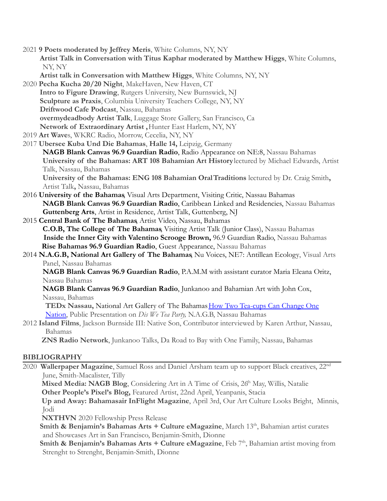2021 **9 Poets moderated by Jeffrey Meris**, White Columns, NY, NY **Artist Talk in Conversation with Titus Kaphar moderated by Matthew Higgs**, White Columns, NY, NY

**Artist talk in Conversation with Matthew Higgs**, White Columns, NY, NY

- 2020 **Pecha Kucha 20/20 Night**, MakeHaven, New Haven, CT **Intro to Figure Drawing**, Rutgers University, New Burnswick, NJ **Sculpture as Praxis**, Columbia University Teachers College, NY, NY **Driftwood Cafe Podcast**, Nassau, Bahamas **overmydeadbody Artist Talk**, Luggage Store Gallery, San Francisco, Ca **Network of Extraordinary Artist ,**Hunter East Harlem, NY, NY
- 2019 **Art Wave**s, WKRC Radio, Morrow, Cecelia, NY, NY
- 2017 **Ubersee Kuba Und Die Bahamas**, **Halle 14,** Leipzig, Germany **NAGB Blank Canvas 96.9 Guardian Radio**, Radio Appearance on NE:8, Nassau Bahamas **University of the Bahamas: ART 108 Bahamian Art History**lectured by Michael Edwards, Artist Talk, Nassau, Bahamas **University of the Bahamas: ENG 108 Bahamian OralTraditions** lectured by Dr. Craig Smith**,**

Artist Talk**,** Nassau, Bahamas

- 2016 **University of the Bahamas**, Visual Arts Department, Visiting Critic, Nassau Bahamas **NAGB Blank Canvas 96.9 Guardian Radio**, Caribbean Linked and Residencies, Nassau Bahamas **Guttenberg Arts**, Artist in Residence, Artist Talk, Guttenberg, NJ
- 2015 **Central Bank of The Bahamas**, Artist Video, Nassau, Bahamas **C.O.B, The College of The Bahamas**, Visiting Artist Talk (Junior Class), Nassau Bahamas **Inside the Inner City with Valentino Scrooge Brown,** 96.9 Guardian Radio, Nassau Bahamas **Rise Bahamas 96.9 Guardian Radio**, Guest Appearance, Nassau Bahamas
- 2014 **N.A.G.B, National Art Gallery of The Bahamas**, Nu Voices, NE7: Antillean Ecology, Visual Arts Panel, Nassau Bahamas

**NAGB Blank Canvas 96.9 Guardian Radio**, P.A.M.M with assistant curator Maria Eleana Oritz, Nassau Bahamas

**NAGB Blank Canvas 96.9 Guardian Radio**, Junkanoo and Bahamian Art with John Cox, Nassau, Bahamas

**TEDx Nassau,** National Art Gallery of The Bahamas [How Two Tea-cups Can Change One](https://www.youtube.com/watch?v=ahIWGc0EQto) [Nation,](https://www.youtube.com/watch?v=ahIWGc0EQto) Public Presentation on *Dis We Tea Party,* N.A.G.B, Nassau Bahamas

2012 **Island Films**, Jackson Burnside III: Native Son, Contributor interviewed by Karen Arthur, Nassau, Bahamas

**ZNS Radio Network**, Junkanoo Talks, Da Road to Bay with One Family, Nassau, Bahamas

# **BIBLIOGRAPHY**

2020 **Wallerpaper Magazine**, Samuel Ross and Daniel Arsham team up to support Black creatives, 22nd June, Smith-Macalister, Tilly

Mixed Media: NAGB Blog, Considering Art in A Time of Crisis, 26<sup>th</sup> May, Willis, Natalie **Other People's Pixel's Blog,** Featured Artist, 22nd April, Yeanpanis, Stacia

**Up and Away: Bahamasair InFlight Magazine**, April 3rd, Our Art Culture Looks Bright, Minnis, Jodi

**NXTHVN** 2020 Fellowship Press Release

Smith & Benjamin's Bahamas Arts + Culture eMagazine, March 13<sup>th</sup>, Bahamian artist curates and Showcases Art in San Francisco, Benjamin-Smith, Dionne

**Smith & Benjamin's Bahamas Arts + Culture eMagazine**, Feb 7<sup>th</sup>, Bahamian artist moving from Strenght to Strenght, Benjamin-Smith, Dionne